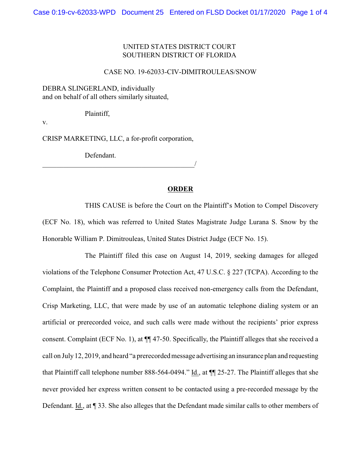## UNITED STATES DISTRICT COURT SOUTHERN DISTRICT OF FLORIDA

## CASE NO. 19-62033-CIV-DIMITROULEAS/SNOW

DEBRA SLINGERLAND, individually and on behalf of all others similarly situated,

Plaintiff,

v.

CRISP MARKETING, LLC, a for-profit corporation,

Defendant.

 $\overline{\phantom{a}}$  , and the contract of the contract of the contract of  $\overline{\phantom{a}}$ 

## **ORDER**

THIS CAUSE is before the Court on the Plaintiff's Motion to Compel Discovery (ECF No. 18), which was referred to United States Magistrate Judge Lurana S. Snow by the Honorable William P. Dimitrouleas, United States District Judge (ECF No. 15).

The Plaintiff filed this case on August 14, 2019, seeking damages for alleged violations of the Telephone Consumer Protection Act, 47 U.S.C. § 227 (TCPA). According to the Complaint, the Plaintiff and a proposed class received non-emergency calls from the Defendant, Crisp Marketing, LLC, that were made by use of an automatic telephone dialing system or an artificial or prerecorded voice, and such calls were made without the recipients' prior express consent. Complaint (ECF No. 1), at ¶¶ 47-50. Specifically, the Plaintiff alleges that she received a call on July12, 2019, and heard "a prerecorded message advertising an insurance plan and requesting that Plaintiff call telephone number 888-564-0494." Id., at ¶¶ 25-27. The Plaintiff alleges that she never provided her express written consent to be contacted using a pre-recorded message by the Defendant. Id., at ¶ 33. She also alleges that the Defendant made similar calls to other members of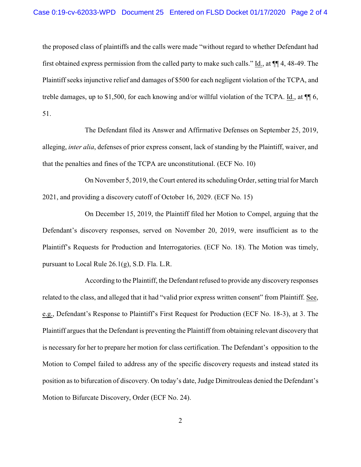the proposed class of plaintiffs and the calls were made "without regard to whether Defendant had first obtained express permission from the called party to make such calls." Id., at ¶¶ 4, 48-49. The Plaintiff seeks injunctive relief and damages of \$500 for each negligent violation of the TCPA, and treble damages, up to \$1,500, for each knowing and/or willful violation of the TCPA. Id., at ¶¶ 6, 51.

The Defendant filed its Answer and Affirmative Defenses on September 25, 2019, alleging, *inter alia*, defenses of prior express consent, lack of standing by the Plaintiff, waiver, and that the penalties and fines of the TCPA are unconstitutional. (ECF No. 10)

On November 5, 2019, the Court entered its scheduling Order, setting trial for March 2021, and providing a discovery cutoff of October 16, 2029. (ECF No. 15)

On December 15, 2019, the Plaintiff filed her Motion to Compel, arguing that the Defendant's discovery responses, served on November 20, 2019, were insufficient as to the Plaintiff's Requests for Production and Interrogatories. (ECF No. 18). The Motion was timely, pursuant to Local Rule 26.1(g), S.D. Fla. L.R.

According to the Plaintiff, the Defendant refused to provide any discovery responses related to the class, and alleged that it had "valid prior express written consent" from Plaintiff. See, e.g., Defendant's Response to Plaintiff's First Request for Production (ECF No. 18-3), at 3. The Plaintiff argues that the Defendant is preventing the Plaintiff from obtaining relevant discovery that is necessary for her to prepare her motion for class certification. The Defendant's opposition to the Motion to Compel failed to address any of the specific discovery requests and instead stated its position as to bifurcation of discovery. On today's date, Judge Dimitrouleas denied the Defendant's Motion to Bifurcate Discovery, Order (ECF No. 24).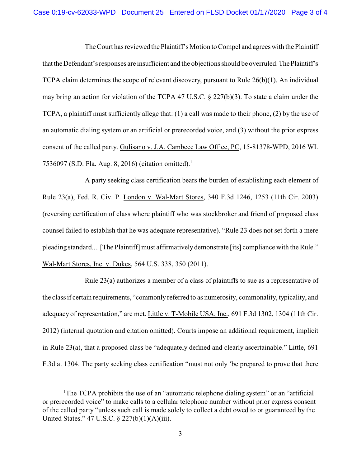The Court has reviewed the Plaintiff's Motion to Compel and agrees with the Plaintiff that the Defendant's responses are insufficient and the objections should be overruled. The Plaintiff's TCPA claim determines the scope of relevant discovery, pursuant to Rule 26(b)(1). An individual may bring an action for violation of the TCPA 47 U.S.C. § 227(b)(3). To state a claim under the TCPA, a plaintiff must sufficiently allege that: (1) a call was made to their phone, (2) by the use of an automatic dialing system or an artificial or prerecorded voice, and (3) without the prior express consent of the called party. Gulisano v. J.A. Cambece Law Office, PC, 15-81378-WPD, 2016 WL 7536097 (S.D. Fla. Aug. 8, 2016) (citation omitted).<sup>1</sup>

A party seeking class certification bears the burden of establishing each element of Rule 23(a), Fed. R. Civ. P. London v. Wal-Mart Stores, 340 F.3d 1246, 1253 (11th Cir. 2003) (reversing certification of class where plaintiff who was stockbroker and friend of proposed class counsel failed to establish that he was adequate representative). "Rule 23 does not set forth a mere pleading standard.... [The Plaintiff] must affirmativelydemonstrate [its] compliance with the Rule." Wal-Mart Stores, Inc. v. Dukes, 564 U.S. 338, 350 (2011).

Rule 23(a) authorizes a member of a class of plaintiffs to sue as a representative of the class if certain requirements, "commonly referred to as numerosity, commonality, typicality, and adequacy of representation," are met. Little v. T-Mobile USA, Inc., 691 F.3d 1302, 1304 (11th Cir. 2012) (internal quotation and citation omitted). Courts impose an additional requirement, implicit in Rule 23(a), that a proposed class be "adequately defined and clearly ascertainable." Little, 691 F.3d at 1304. The party seeking class certification "must not only 'be prepared to prove that there

<sup>&</sup>lt;sup>1</sup>The TCPA prohibits the use of an "automatic telephone dialing system" or an "artificial or prerecorded voice" to make calls to a cellular telephone number without prior express consent of the called party "unless such call is made solely to collect a debt owed to or guaranteed by the United States." 47 U.S.C. § 227(b)(1)(A)(iii).